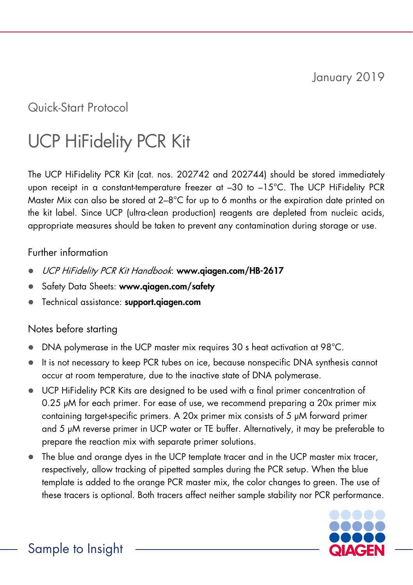January 2019

Quick-Start Protocol

# UCP HiFidelity PCR Kit

The UCP HiFidelity PCR Kit (cat. nos. 202742 and 202744) should be stored immediately upon receipt in a constant-temperature freezer at –30 to –15°C. The UCP HiFidelity PCR Master Mix can also be stored at 2–8°C for up to 6 months or the expiration date printed on the kit label. Since UCP (ultra-clean production) reagents are depleted from nucleic acids, appropriate measures should be taken to prevent any contamination during storage or use.

## Further information

- UCP HiFidelity PCR Kit Handbook: www.qiagen.com/HB-2617
- Safety Data Sheets: www.qiagen.com/safety
- Technical assistance: support.aiagen.com

## Notes before starting

- DNA polymerase in the UCP master mix requires 30 s heat activation at 98°C.
- It is not necessary to keep PCR tubes on ice, because nonspecific DNA synthesis cannot occur at room temperature, due to the inactive state of DNA polymerase.
- UCP HiFidelity PCR Kits are designed to be used with a final primer concentration of 0.25 μM for each primer. For ease of use, we recommend preparing a 20x primer mix containing target-specific primers. A 20x primer mix consists of 5 μM forward primer and 5 μM reverse primer in UCP water or TE buffer. Alternatively, it may be preferable to prepare the reaction mix with separate primer solutions.
- The blue and orange dyes in the UCP template tracer and in the UCP master mix tracer, respectively, allow tracking of pipetted samples during the PCR setup. When the blue template is added to the orange PCR master mix, the color changes to green. The use of these tracers is optional. Both tracers affect neither sample stability nor PCR performance.

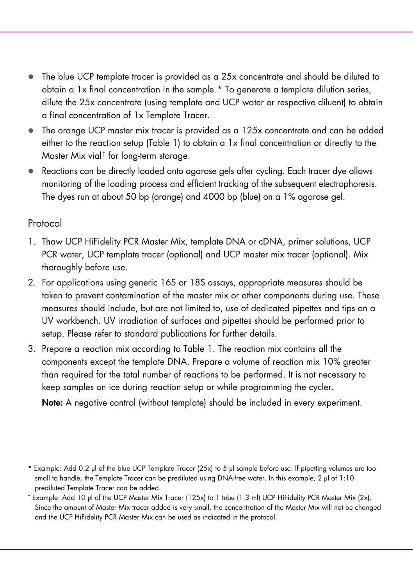- The blue UCP template tracer is provided as a 25x concentrate and should be diluted to obtain a 1x final concentration in the sample.[\\*](#page-1-0) To generate a template dilution series, dilute the 25x concentrate (using template and UCP water or respective diluent) to obtain a final concentration of 1x Template Tracer.
- The orange UCP master mix tracer is provided as a 125x concentrate and can be added either to the reaction setup [\(Table 1\)](#page-2-0) to obtain a 1x final concentration or directly to the Master Mix vial[†](#page-1-1) for long-term storage.
- Reactions can be directly loaded onto agarose gels after cycling. Each tracer dye allows monitoring of the loading process and efficient tracking of the subsequent electrophoresis. The dyes run at about 50 bp (orange) and 4000 bp (blue) on a 1% agarose gel.

## Protocol

- 1. Thaw UCP HiFidelity PCR Master Mix, template DNA or cDNA, primer solutions, UCP PCR water, UCP template tracer (optional) and UCP master mix tracer (optional). Mix thoroughly before use.
- 2. For applications using generic 16S or 18S assays, appropriate measures should be taken to prevent contamination of the master mix or other components during use. These measures should include, but are not limited to, use of dedicated pipettes and tips on a UV workbench. UV irradiation of surfaces and pipettes should be performed prior to setup. Please refer to standard publications for further details.
- 3. Prepare a reaction mix according to [Table 1.](#page-2-0) The reaction mix contains all the components except the template DNA. Prepare a volume of reaction mix 10% greater than required for the total number of reactions to be performed. It is not necessary to keep samples on ice during reaction setup or while programming the cycler.

Note: A negative control (without template) should be included in every experiment.

<span id="page-1-0"></span><sup>\*</sup> Example: Add 0.2 μl of the blue UCP Template Tracer (25x) to 5 μl sample before use. If pipetting volumes are too small to handle, the Template Tracer can be prediluted using DNA-free water. In this example, 2 μl of 1:10 prediluted Template Tracer can be added.

<span id="page-1-1"></span><sup>†</sup> Example: Add 10 μl of the UCP Master Mix Tracer (125x) to 1 tube (1.3 ml) UCP HiFidelity PCR Master Mix (2x). Since the amount of Master Mix tracer added is very small, the concentration of the Master Mix will not be changed and the UCP HiFidelity PCR Master Mix can be used as indicated in the protocol.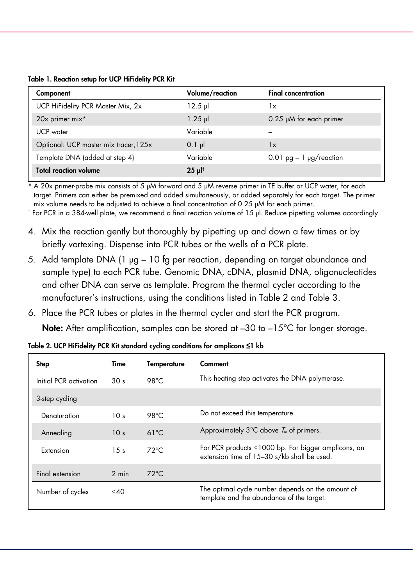<span id="page-2-0"></span>

|  | Table 1. Reaction setup for UCP HiFidelity PCR Kit |  |  |  |  |
|--|----------------------------------------------------|--|--|--|--|
|--|----------------------------------------------------|--|--|--|--|

| Component                             | Volume/reaction       | <b>Final concentration</b>   |  |
|---------------------------------------|-----------------------|------------------------------|--|
| UCP HiFidelity PCR Master Mix, 2x     | $12.5$ pl             | 1x                           |  |
| 20x primer mix*                       | $1.25$ pl             | $0.25 \mu M$ for each primer |  |
| UCP water                             | Variable              |                              |  |
| Optional: UCP master mix tracer, 125x | $0.1$ pl              | 1x                           |  |
| Template DNA (added at step 4)        | Variable              | 0.01 $pg - 1$ $pg$ /reaction |  |
| <b>Total reaction volume</b>          | $25 \mu$ <sup>t</sup> |                              |  |

\* A 20x primer-probe mix consists of 5 μM forward and 5 μM reverse primer in TE buffer or UCP water, for each target. Primers can either be premixed and added simultaneously, or added separately for each target. The primer mix volume needs to be adjusted to achieve a final concentration of 0.25 μM for each primer.

† For PCR in a 384-well plate, we recommend a final reaction volume of 15 µl. Reduce pipetting volumes accordingly.

- 4. Mix the reaction gently but thoroughly by pipetting up and down a few times or by briefly vortexing. Dispense into PCR tubes or the wells of a PCR plate.
- 5. Add template DNA (1 μg 10 fg per reaction, depending on target abundance and sample type) to each PCR tube. Genomic DNA, cDNA, plasmid DNA, oligonucleotides and other DNA can serve as template. Program the thermal cycler according to the manufacturer's instructions, using the conditions listed in Table 2 and [Table 3.](#page-3-0)
- 6. Place the PCR tubes or plates in the thermal cycler and start the PCR program.

**Note:** After amplification, samples can be stored at  $-30$  to  $-15^{\circ}$  for longer storage.

| Step                   | Time            | <b>Temperature</b> | Comment                                                                                                  |
|------------------------|-----------------|--------------------|----------------------------------------------------------------------------------------------------------|
| Initial PCR activation | 30 <sub>s</sub> | $98^{\circ}$ C     | This heating step activates the DNA polymerase.                                                          |
| 3-step cycling         |                 |                    |                                                                                                          |
| Denaturation           | 10 <sub>s</sub> | 98°C               | Do not exceed this temperature.                                                                          |
| Annealing              | 10 <sub>s</sub> | $61^{\circ}$ C     | Approximately $3^{\circ}$ C above $T_m$ of primers.                                                      |
| Extension              | 15 <sub>s</sub> | $72^{\circ}$ C     | For PCR products $\leq 1000$ bp. For bigger amplicons, an<br>extension time of 15-30 s/kb shall be used. |
| Final extension        | 2 min           | $72^{\circ}$ C     |                                                                                                          |
| Number of cycles       | $<$ 40          |                    | The optimal cycle number depends on the amount of<br>template and the abundance of the target.           |

Table 2. UCP HiFidelity PCR Kit standard cycling conditions for amplicons **≤**1 kb